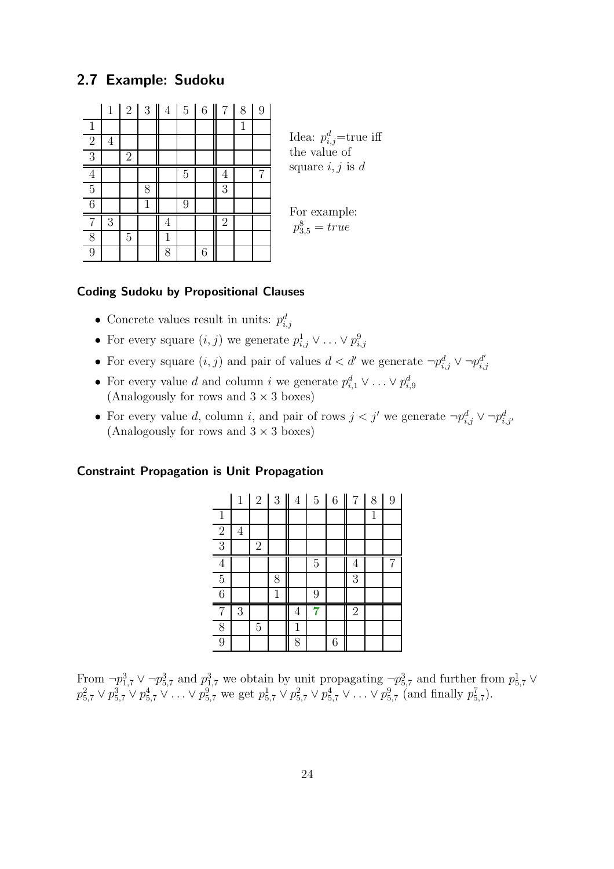## 2.7 Example: Sudoku

|                | $\mathbf 1$ | $\sqrt{2}$     | $\mathfrak{Z}$ | $\overline{4}$ | $\overline{5}$ | 6 | 7              | 8 | 9 |
|----------------|-------------|----------------|----------------|----------------|----------------|---|----------------|---|---|
| $\mathbf{1}$   |             |                |                |                |                |   |                | 1 |   |
| $\overline{2}$ | 4           |                |                |                |                |   |                |   |   |
| $\overline{3}$ |             | $\overline{2}$ |                |                |                |   |                |   |   |
| $\overline{4}$ |             |                |                |                | $\overline{5}$ |   | 4              |   |   |
| $\overline{5}$ |             |                | 8              |                |                |   | 3              |   |   |
| $\overline{6}$ |             |                | 1              |                | 9              |   |                |   |   |
| 7              | 3           |                |                | $\overline{4}$ |                |   | $\overline{2}$ |   |   |
| 8              |             | $\overline{5}$ |                | $\mathbf{1}$   |                |   |                |   |   |
| 9              |             |                |                | 8              |                | 6 |                |   |   |

Idea:  $p_{i,j}^d$ =true iff the value of square  $i, j$  is  $d$ 

For example:  $p_{3,5}^8 = true$ 

## Coding Sudoku by Propositional Clauses

- Concrete values result in units:  $p_{i,j}^d$
- For every square  $(i, j)$  we generate  $p_{i,j}^1 \vee \ldots \vee p_{i,j}^9$ i,j
- For every square  $(i, j)$  and pair of values  $d < d'$  we generate  $\neg p_{i,j}^d \vee \neg p_{i,j}^{d'}$ i,j
- For every value d and column i we generate  $p_{i,1}^d \vee \ldots \vee p_{i,9}^d$ (Analogously for rows and  $3 \times 3$  boxes)
- For every value d, column i, and pair of rows  $j < j'$  we generate  $\neg p_{i,j}^d \vee \neg p_{i,j'}^d$ (Analogously for rows and  $3 \times 3$  boxes)

## Constraint Propagation is Unit Propagation

|                | $\,1\,$ | $\overline{2}$<br>I | $\sqrt{3}$ | $\overline{4}$ | $\bf 5$        | $\overline{6}$ | $\overline{7}$ | 8 | 9 |
|----------------|---------|---------------------|------------|----------------|----------------|----------------|----------------|---|---|
| $\mathbf{1}$   |         |                     |            |                |                |                |                | 1 |   |
| $\sqrt{2}$     | 4       |                     |            |                |                |                |                |   |   |
| $\overline{3}$ |         | $\overline{2}$      |            |                |                |                |                |   |   |
| $\overline{4}$ |         |                     |            |                | $\overline{5}$ |                | 4              |   |   |
| $\overline{5}$ |         |                     | 8          |                |                |                | 3              |   |   |
| $\overline{6}$ |         |                     | 1          |                | 9              |                |                |   |   |
| 7              | 3       |                     |            | 4              |                |                | $\mathbf{2}$   |   |   |
| 8              |         | $\overline{5}$      |            | 1              |                |                |                |   |   |
| 9              |         |                     |            | 8              |                | 6              |                |   |   |

From  $\neg p_{1,7}^3 \vee \neg p_{5,7}^3$  and  $p_{1,7}^3$  we obtain by unit propagating  $\neg p_{5,7}^3$  and further from  $p_{5,7}^1 \vee$  $p_{5,7}^2 \vee p_{5,7}^3 \vee p_{5,7}^4 \vee \ldots \vee p_{5,7}^9$  we get  $p_{5,7}^1 \vee p_{5,7}^2 \vee p_{5,7}^4 \vee \ldots \vee p_{5,7}^9$  (and finally  $p_{5,7}^7$ ).